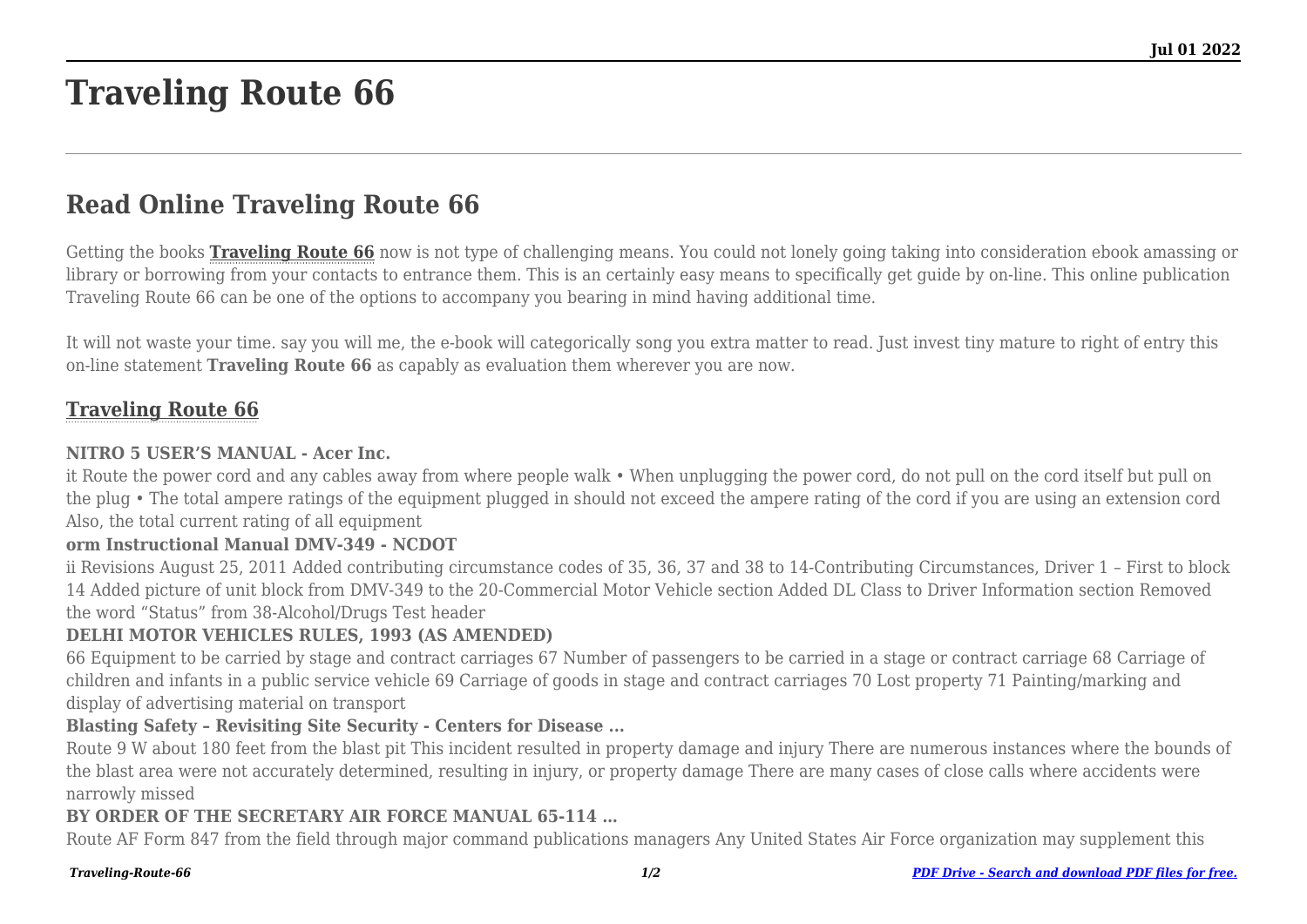# **Traveling Route 66**

## **Read Online Traveling Route 66**

Getting the books **[Traveling Route 66](http://theknottedllama.com)** now is not type of challenging means. You could not lonely going taking into consideration ebook amassing or library or borrowing from your contacts to entrance them. This is an certainly easy means to specifically get guide by on-line. This online publication Traveling Route 66 can be one of the options to accompany you bearing in mind having additional time.

It will not waste your time. say you will me, the e-book will categorically song you extra matter to read. Just invest tiny mature to right of entry this on-line statement **Traveling Route 66** as capably as evaluation them wherever you are now.

### **[Traveling Route 66](http://theknottedllama.com/Traveling-Route-66.pdf)**

#### **NITRO 5 USER'S MANUAL - Acer Inc.**

it Route the power cord and any cables away from where people walk • When unplugging the power cord, do not pull on the cord itself but pull on the plug • The total ampere ratings of the equipment plugged in should not exceed the ampere rating of the cord if you are using an extension cord Also, the total current rating of all equipment

#### **orm Instructional Manual DMV-349 - NCDOT**

ii Revisions August 25, 2011 Added contributing circumstance codes of 35, 36, 37 and 38 to 14-Contributing Circumstances, Driver 1 – First to block 14 Added picture of unit block from DMV-349 to the 20-Commercial Motor Vehicle section Added DL Class to Driver Information section Removed the word "Status" from 38-Alcohol/Drugs Test header

#### **DELHI MOTOR VEHICLES RULES, 1993 (AS AMENDED)**

66 Equipment to be carried by stage and contract carriages 67 Number of passengers to be carried in a stage or contract carriage 68 Carriage of children and infants in a public service vehicle 69 Carriage of goods in stage and contract carriages 70 Lost property 71 Painting/marking and display of advertising material on transport

#### **Blasting Safety – Revisiting Site Security - Centers for Disease ...**

Route 9 W about 180 feet from the blast pit This incident resulted in property damage and injury There are numerous instances where the bounds of the blast area were not accurately determined, resulting in injury, or property damage There are many cases of close calls where accidents were narrowly missed

#### **BY ORDER OF THE SECRETARY AIR FORCE MANUAL 65-114 …**

Route AF Form 847 from the field through major command publications managers Any United States Air Force organization may supplement this